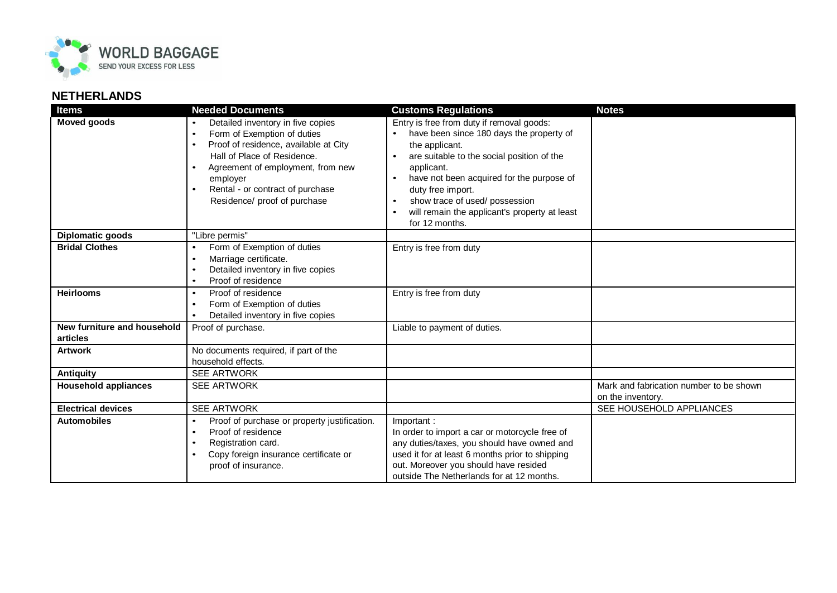

## **NETHERLANDS**

| <b>Items</b>                            | <b>Needed Documents</b>                                                                                                                                                                                                                                                                 | <b>Customs Regulations</b>                                                                                                                                                                                                                                                                                                                                                       | <b>Notes</b>                                                 |
|-----------------------------------------|-----------------------------------------------------------------------------------------------------------------------------------------------------------------------------------------------------------------------------------------------------------------------------------------|----------------------------------------------------------------------------------------------------------------------------------------------------------------------------------------------------------------------------------------------------------------------------------------------------------------------------------------------------------------------------------|--------------------------------------------------------------|
| <b>Moved goods</b>                      | Detailed inventory in five copies<br>Form of Exemption of duties<br>$\bullet$<br>Proof of residence, available at City<br>$\bullet$<br>Hall of Place of Residence.<br>Agreement of employment, from new<br>employer<br>Rental - or contract of purchase<br>Residence/ proof of purchase | Entry is free from duty if removal goods:<br>have been since 180 days the property of<br>the applicant.<br>are suitable to the social position of the<br>applicant.<br>have not been acquired for the purpose of<br>$\bullet$<br>duty free import.<br>show trace of used/possession<br>$\bullet$<br>will remain the applicant's property at least<br>$\bullet$<br>for 12 months. |                                                              |
| <b>Diplomatic goods</b>                 | "Libre permis"                                                                                                                                                                                                                                                                          |                                                                                                                                                                                                                                                                                                                                                                                  |                                                              |
| <b>Bridal Clothes</b>                   | Form of Exemption of duties<br>$\bullet$<br>Marriage certificate.<br>$\bullet$<br>Detailed inventory in five copies<br>$\bullet$<br>Proof of residence<br>$\bullet$                                                                                                                     | Entry is free from duty                                                                                                                                                                                                                                                                                                                                                          |                                                              |
| <b>Heirlooms</b>                        | Proof of residence<br>$\bullet$<br>Form of Exemption of duties<br>$\bullet$<br>Detailed inventory in five copies<br>$\bullet$                                                                                                                                                           | Entry is free from duty                                                                                                                                                                                                                                                                                                                                                          |                                                              |
| New furniture and household<br>articles | Proof of purchase.                                                                                                                                                                                                                                                                      | Liable to payment of duties.                                                                                                                                                                                                                                                                                                                                                     |                                                              |
| <b>Artwork</b>                          | No documents required, if part of the<br>household effects.                                                                                                                                                                                                                             |                                                                                                                                                                                                                                                                                                                                                                                  |                                                              |
| Antiquity                               | <b>SEE ARTWORK</b>                                                                                                                                                                                                                                                                      |                                                                                                                                                                                                                                                                                                                                                                                  |                                                              |
| <b>Household appliances</b>             | <b>SEE ARTWORK</b>                                                                                                                                                                                                                                                                      |                                                                                                                                                                                                                                                                                                                                                                                  | Mark and fabrication number to be shown<br>on the inventory. |
| <b>Electrical devices</b>               | <b>SEE ARTWORK</b>                                                                                                                                                                                                                                                                      |                                                                                                                                                                                                                                                                                                                                                                                  | SEE HOUSEHOLD APPLIANCES                                     |
| <b>Automobiles</b>                      | Proof of purchase or property justification.<br>$\bullet$<br>Proof of residence<br>$\bullet$<br>Registration card.<br>$\bullet$<br>Copy foreign insurance certificate or<br>$\bullet$<br>proof of insurance.                                                                            | Important:<br>In order to import a car or motorcycle free of<br>any duties/taxes, you should have owned and<br>used it for at least 6 months prior to shipping<br>out. Moreover you should have resided<br>outside The Netherlands for at 12 months.                                                                                                                             |                                                              |